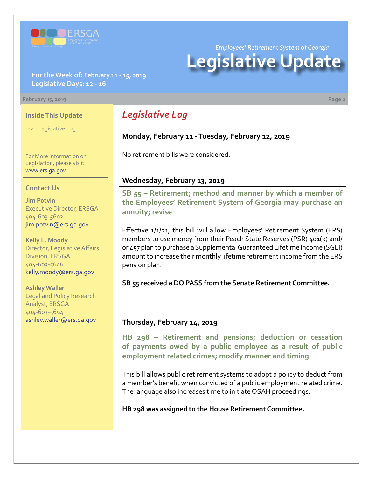

*Employees' Retirement System of Georgia*

# **Legislative Update**

#### **For the Week of: February 11 - 15, 2019 Legislative Days: 12 - 16**

#### **February 15, 2019 Page 1**

#### **Inside This Update**

1-2 Legislative Log

For More Information on Legislation, please visit: [www.ers.ga.gov](http://www.ers.ga.gov/)

#### **Contact Us**

**Jim Potvin** Executive Director, ERSGA 404-603-5602 jim.potvin@ers.ga.gov

**Kelly L. Moody** Director, Legislative Affairs Division, ERSGA 404-603-5646 kelly.moody@ers.ga.gov

**Ashley Waller** Legal and Policy Research Analyst, ERSGA 404-603-5694 ashley.waller@ers.ga.gov

## *Legislative Log*

#### **Monday, February 11 - Tuesday, February 12, 2019**

No retirement bills were considered.

#### **Wednesday, February 13, 2019**

**SB 55 [– R](http://www.legis.ga.gov/legislation/en-US/Display/20192020/SB/55)etirement; method and manner by which a member of the Employees' Retirement System of Georgia may purchase an annuity; revise**

Effective 1/1/21, this bill will allow Employees' Retirement System (ERS) members to use money from their Peach State Reserves (PSR) 401(k) and/ or 457 plan to purchase a Supplemental Guaranteed Lifetime Income (SGLI) amount to increase their monthly lifetime retirement income from the ERS pension plan.

**SB 55 received a DO PASS from the Senate Retirement Committee.**

#### **Thursday, February 14, 2019**

**HB 29[8 –](http://www.legis.ga.gov/legislation/en-US/Display/20192020/HB/298) Retirement and pensions; deduction or cessation of payments owed by a public employee as a result of public employment related crimes; modify manner and timing**

This bill allows public retirement systems to adopt a policy to deduct from a member's benefit when convicted of a public employment related crime. The language also increases time to initiate OSAH proceedings.

**HB 298 was assigned to the House Retirement Committee.**